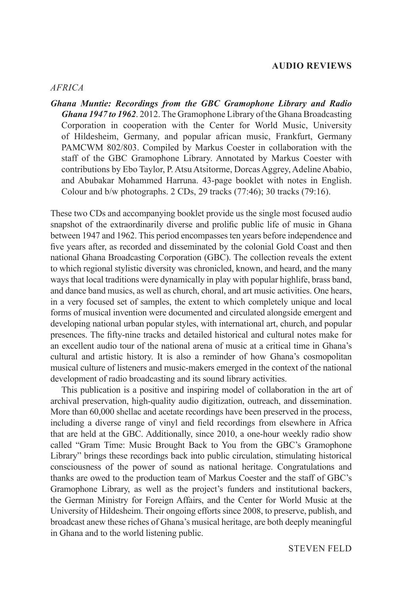#### **AUDIO REVIEWS**

#### *AFRICA*

*Ghana Muntie: Recordings from the GBC Gramophone Library and Radio Ghana 1947 to 1962*. 2012. The Gramophone Library of the Ghana Broadcasting Corporation in cooperation with the Center for World Music, University of Hildesheim, Germany, and popular african music, Frankfurt, Germany PAMCWM 802/803. Compiled by Markus Coester in collaboration with the staff of the GBC Gramophone Library. Annotated by Markus Coester with contributions by Ebo Taylor, P. Atsu Atsitorme, Dorcas Aggrey, Adeline Ababio, and Abubakar Mohammed Harruna. 43-page booklet with notes in English. Colour and b/w photographs. 2 CDs, 29 tracks (77:46); 30 tracks (79:16).

These two CDs and accompanying booklet provide us the single most focused audio snapshot of the extraordinarily diverse and prolific public life of music in Ghana between 1947 and 1962. This period encompasses ten years before independence and five years after, as recorded and disseminated by the colonial Gold Coast and then national Ghana Broadcasting Corporation (GBC). The collection reveals the extent to which regional stylistic diversity was chronicled, known, and heard, and the many ways that local traditions were dynamically in play with popular highlife, brass band, and dance band musics, as well as church, choral, and art music activities. One hears, in a very focused set of samples, the extent to which completely unique and local forms of musical invention were documented and circulated alongside emergent and developing national urban popular styles, with international art, church, and popular presences. The fifty-nine tracks and detailed historical and cultural notes make for an excellent audio tour of the national arena of music at a critical time in Ghana's cultural and artistic history. It is also a reminder of how Ghana's cosmopolitan musical culture of listeners and music-makers emerged in the context of the national development of radio broadcasting and its sound library activities.

This publication is a positive and inspiring model of collaboration in the art of archival preservation, high-quality audio digitization, outreach, and dissemination. More than 60,000 shellac and acetate recordings have been preserved in the process, including a diverse range of vinyl and field recordings from elsewhere in Africa that are held at the GBC. Additionally, since 2010, a one-hour weekly radio show called "Gram Time: Music Brought Back to You from the GBC's Gramophone Library" brings these recordings back into public circulation, stimulating historical consciousness of the power of sound as national heritage. Congratulations and thanks are owed to the production team of Markus Coester and the staff of GBC's Gramophone Library, as well as the project's funders and institutional backers, the German Ministry for Foreign Affairs, and the Center for World Music at the University of Hildesheim. Their ongoing efforts since 2008, to preserve, publish, and broadcast anew these riches of Ghana's musical heritage, are both deeply meaningful in Ghana and to the world listening public.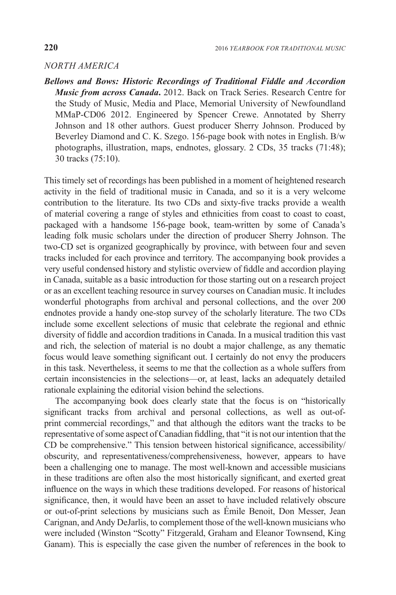# *NORTH AMERICA*

*Bellows and Bows: Historic Recordings of Traditional Fiddle and Accordion Music from across Canada***.** 2012. Back on Track Series. Research Centre for the Study of Music, Media and Place, Memorial University of Newfoundland MMaP-CD06 2012. Engineered by Spencer Crewe. Annotated by Sherry Johnson and 18 other authors. Guest producer Sherry Johnson. Produced by Beverley Diamond and C. K. Szego. 156-page book with notes in English. B/w photographs, illustration, maps, endnotes, glossary. 2 CDs, 35 tracks (71:48); 30 tracks (75:10).

This timely set of recordings has been published in a moment of heightened research activity in the field of traditional music in Canada, and so it is a very welcome contribution to the literature. Its two CDs and sixty-five tracks provide a wealth of material covering a range of styles and ethnicities from coast to coast to coast, packaged with a handsome 156-page book, team-written by some of Canada's leading folk music scholars under the direction of producer Sherry Johnson. The two-CD set is organized geographically by province, with between four and seven tracks included for each province and territory. The accompanying book provides a very useful condensed history and stylistic overview of fiddle and accordion playing in Canada, suitable as a basic introduction for those starting out on a research project or as an excellent teaching resource in survey courses on Canadian music. It includes wonderful photographs from archival and personal collections, and the over 200 endnotes provide a handy one-stop survey of the scholarly literature. The two CDs include some excellent selections of music that celebrate the regional and ethnic diversity of fiddle and accordion traditions in Canada. In a musical tradition this vast and rich, the selection of material is no doubt a major challenge, as any thematic focus would leave something significant out. I certainly do not envy the producers in this task. Nevertheless, it seems to me that the collection as a whole suffers from certain inconsistencies in the selections—or, at least, lacks an adequately detailed rationale explaining the editorial vision behind the selections.

The accompanying book does clearly state that the focus is on "historically significant tracks from archival and personal collections, as well as out-ofprint commercial recordings," and that although the editors want the tracks to be representative of some aspect of Canadian fiddling, that "it is not our intention that the CD be comprehensive." This tension between historical significance, accessibility/ obscurity, and representativeness/comprehensiveness, however, appears to have been a challenging one to manage. The most well-known and accessible musicians in these traditions are often also the most historically significant, and exerted great influence on the ways in which these traditions developed. For reasons of historical significance, then, it would have been an asset to have included relatively obscure or out-of-print selections by musicians such as Émile Benoit, Don Messer, Jean Carignan, and Andy DeJarlis, to complement those of the well-known musicians who were included (Winston "Scotty" Fitzgerald, Graham and Eleanor Townsend, King Ganam). This is especially the case given the number of references in the book to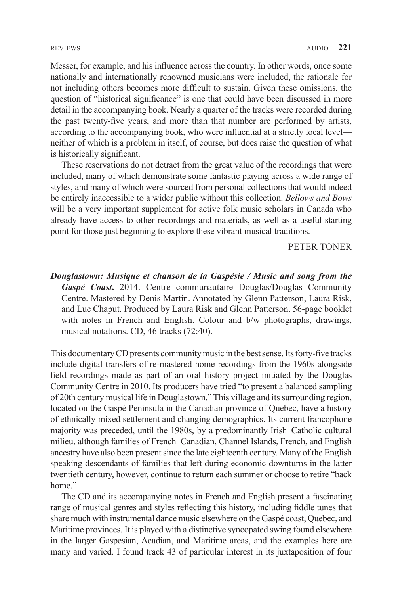Messer, for example, and his influence across the country. In other words, once some nationally and internationally renowned musicians were included, the rationale for not including others becomes more difficult to sustain. Given these omissions, the question of "historical significance" is one that could have been discussed in more detail in the accompanying book. Nearly a quarter of the tracks were recorded during the past twenty-five years, and more than that number are performed by artists, according to the accompanying book, who were influential at a strictly local level neither of which is a problem in itself, of course, but does raise the question of what is historically significant.

These reservations do not detract from the great value of the recordings that were included, many of which demonstrate some fantastic playing across a wide range of styles, and many of which were sourced from personal collections that would indeed be entirely inaccessible to a wider public without this collection. *Bellows and Bows* will be a very important supplement for active folk music scholars in Canada who already have access to other recordings and materials, as well as a useful starting point for those just beginning to explore these vibrant musical traditions.

PETER TONER

*Douglastown: Musique et chanson de la Gaspésie / Music and song from the Gaspé Coast***.** 2014. Centre communautaire Douglas/Douglas Community Centre. Mastered by Denis Martin. Annotated by Glenn Patterson, Laura Risk, and Luc Chaput. Produced by Laura Risk and Glenn Patterson. 56-page booklet with notes in French and English. Colour and b/w photographs, drawings, musical notations. CD, 46 tracks (72:40).

This documentary CD presents community music in the best sense. Its forty-five tracks include digital transfers of re-mastered home recordings from the 1960s alongside field recordings made as part of an oral history project initiated by the Douglas Community Centre in 2010. Its producers have tried "to present a balanced sampling of 20th century musical life in Douglastown." This village and its surrounding region, located on the Gaspé Peninsula in the Canadian province of Quebec, have a history of ethnically mixed settlement and changing demographics. Its current francophone majority was preceded, until the 1980s, by a predominantly Irish–Catholic cultural milieu, although families of French–Canadian, Channel Islands, French, and English ancestry have also been present since the late eighteenth century. Many of the English speaking descendants of families that left during economic downturns in the latter twentieth century, however, continue to return each summer or choose to retire "back home."

The CD and its accompanying notes in French and English present a fascinating range of musical genres and styles reflecting this history, including fiddle tunes that share much with instrumental dance music elsewhere on the Gaspé coast, Quebec, and Maritime provinces. It is played with a distinctive syncopated swing found elsewhere in the larger Gaspesian, Acadian, and Maritime areas, and the examples here are many and varied. I found track 43 of particular interest in its juxtaposition of four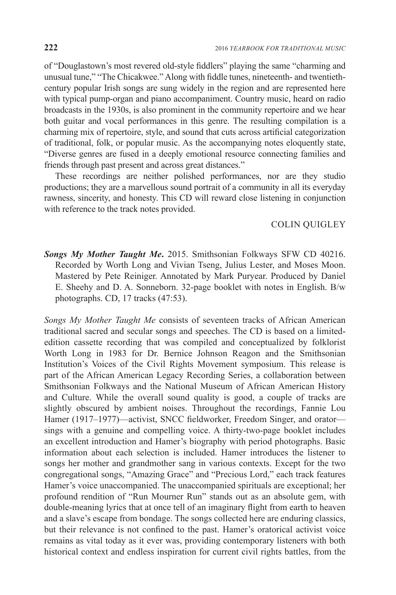of "Douglastown's most revered old-style fiddlers" playing the same "charming and unusual tune," "The Chicakwee." Along with fiddle tunes, nineteenth- and twentiethcentury popular Irish songs are sung widely in the region and are represented here with typical pump-organ and piano accompaniment. Country music, heard on radio broadcasts in the 1930s, is also prominent in the community repertoire and we hear both guitar and vocal performances in this genre. The resulting compilation is a charming mix of repertoire, style, and sound that cuts across artificial categorization of traditional, folk, or popular music. As the accompanying notes eloquently state, "Diverse genres are fused in a deeply emotional resource connecting families and friends through past present and across great distances."

These recordings are neither polished performances, nor are they studio productions; they are a marvellous sound portrait of a community in all its everyday rawness, sincerity, and honesty. This CD will reward close listening in conjunction with reference to the track notes provided.

# COLIN QUIGLEY

*Songs My Mother Taught Me***.** 2015. Smithsonian Folkways SFW CD 40216. Recorded by Worth Long and Vivian Tseng, Julius Lester, and Moses Moon. Mastered by Pete Reiniger. Annotated by Mark Puryear. Produced by Daniel E. Sheehy and D. A. Sonneborn. 32-page booklet with notes in English. B/w photographs. CD, 17 tracks (47:53).

*Songs My Mother Taught Me* consists of seventeen tracks of African American traditional sacred and secular songs and speeches. The CD is based on a limitededition cassette recording that was compiled and conceptualized by folklorist Worth Long in 1983 for Dr. Bernice Johnson Reagon and the Smithsonian Institution's Voices of the Civil Rights Movement symposium. This release is part of the African American Legacy Recording Series, a collaboration between Smithsonian Folkways and the National Museum of African American History and Culture. While the overall sound quality is good, a couple of tracks are slightly obscured by ambient noises. Throughout the recordings, Fannie Lou Hamer (1917–1977)—activist, SNCC fieldworker, Freedom Singer, and orator sings with a genuine and compelling voice. A thirty-two-page booklet includes an excellent introduction and Hamer's biography with period photographs. Basic information about each selection is included. Hamer introduces the listener to songs her mother and grandmother sang in various contexts. Except for the two congregational songs, "Amazing Grace" and "Precious Lord," each track features Hamer's voice unaccompanied. The unaccompanied spirituals are exceptional; her profound rendition of "Run Mourner Run" stands out as an absolute gem, with double-meaning lyrics that at once tell of an imaginary flight from earth to heaven and a slave's escape from bondage. The songs collected here are enduring classics, but their relevance is not confined to the past. Hamer's oratorical activist voice remains as vital today as it ever was, providing contemporary listeners with both historical context and endless inspiration for current civil rights battles, from the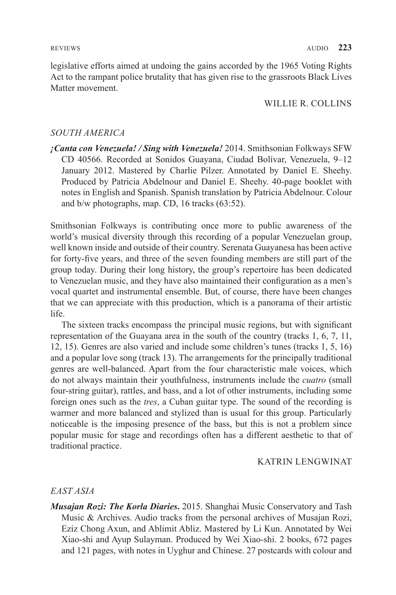legislative efforts aimed at undoing the gains accorded by the 1965 Voting Rights Act to the rampant police brutality that has given rise to the grassroots Black Lives Matter movement.

### WILLIE R. COLLINS

# *SOUTH AMERICA*

*¡Canta con Venezuela! / Sing with Venezuela!* 2014. Smithsonian Folkways SFW CD 40566. Recorded at Sonidos Guayana, Ciudad Bolívar, Venezuela, 9–12 January 2012. Mastered by Charlie Pilzer. Annotated by Daniel E. Sheehy. Produced by Patricia Abdelnour and Daniel E. Sheehy. 40-page booklet with notes in English and Spanish. Spanish translation by Patricia Abdelnour. Colour and b/w photographs, map. CD, 16 tracks (63:52).

Smithsonian Folkways is contributing once more to public awareness of the world's musical diversity through this recording of a popular Venezuelan group, well known inside and outside of their country. Serenata Guayanesa has been active for forty-five years, and three of the seven founding members are still part of the group today. During their long history, the group's repertoire has been dedicated to Venezuelan music, and they have also maintained their configuration as a men's vocal quartet and instrumental ensemble. But, of course, there have been changes that we can appreciate with this production, which is a panorama of their artistic life.

The sixteen tracks encompass the principal music regions, but with significant representation of the Guayana area in the south of the country (tracks 1, 6, 7, 11, 12, 15). Genres are also varied and include some children's tunes (tracks 1, 5, 16) and a popular love song (track 13). The arrangements for the principally traditional genres are well-balanced. Apart from the four characteristic male voices, which do not always maintain their youthfulness, instruments include the *cuatro* (small four-string guitar), rattles, and bass, and a lot of other instruments, including some foreign ones such as the *tres*, a Cuban guitar type. The sound of the recording is warmer and more balanced and stylized than is usual for this group. Particularly noticeable is the imposing presence of the bass, but this is not a problem since popular music for stage and recordings often has a different aesthetic to that of traditional practice.

#### KATRIN LENGWINAT

#### *EAST ASIA*

*Musajan Rozi: The Korla Diaries***.** 2015. Shanghai Music Conservatory and Tash Music & Archives. Audio tracks from the personal archives of Musajan Rozi, Eziz Chong Axun, and Ablimit Abliz. Mastered by Li Kun. Annotated by Wei Xiao-shi and Ayup Sulayman. Produced by Wei Xiao-shi. 2 books, 672 pages and 121 pages, with notes in Uyghur and Chinese. 27 postcards with colour and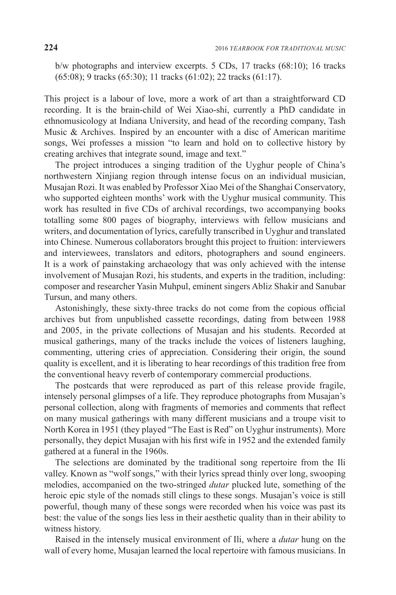b/w photographs and interview excerpts. 5 CDs, 17 tracks (68:10); 16 tracks (65:08); 9 tracks (65:30); 11 tracks (61:02); 22 tracks (61:17).

This project is a labour of love, more a work of art than a straightforward CD recording. It is the brain-child of Wei Xiao-shi, currently a PhD candidate in ethnomusicology at Indiana University, and head of the recording company, Tash Music & Archives. Inspired by an encounter with a disc of American maritime songs, Wei professes a mission "to learn and hold on to collective history by creating archives that integrate sound, image and text."

The project introduces a singing tradition of the Uyghur people of China's northwestern Xinjiang region through intense focus on an individual musician, Musajan Rozi. It was enabled by Professor Xiao Mei of the Shanghai Conservatory, who supported eighteen months' work with the Uyghur musical community. This work has resulted in five CDs of archival recordings, two accompanying books totalling some 800 pages of biography, interviews with fellow musicians and writers, and documentation of lyrics, carefully transcribed in Uyghur and translated into Chinese. Numerous collaborators brought this project to fruition: interviewers and interviewees, translators and editors, photographers and sound engineers. It is a work of painstaking archaeology that was only achieved with the intense involvement of Musajan Rozi, his students, and experts in the tradition, including: composer and researcher Yasin Muhpul, eminent singers Abliz Shakir and Sanubar Tursun, and many others.

Astonishingly, these sixty-three tracks do not come from the copious official archives but from unpublished cassette recordings, dating from between 1988 and 2005, in the private collections of Musajan and his students. Recorded at musical gatherings, many of the tracks include the voices of listeners laughing, commenting, uttering cries of appreciation. Considering their origin, the sound quality is excellent, and it is liberating to hear recordings of this tradition free from the conventional heavy reverb of contemporary commercial productions.

The postcards that were reproduced as part of this release provide fragile, intensely personal glimpses of a life. They reproduce photographs from Musajan's personal collection, along with fragments of memories and comments that reflect on many musical gatherings with many different musicians and a troupe visit to North Korea in 1951 (they played "The East is Red" on Uyghur instruments). More personally, they depict Musajan with his first wife in 1952 and the extended family gathered at a funeral in the 1960s.

The selections are dominated by the traditional song repertoire from the Ili valley. Known as "wolf songs," with their lyrics spread thinly over long, swooping melodies, accompanied on the two-stringed *dutar* plucked lute, something of the heroic epic style of the nomads still clings to these songs. Musajan's voice is still powerful, though many of these songs were recorded when his voice was past its best: the value of the songs lies less in their aesthetic quality than in their ability to witness history.

Raised in the intensely musical environment of Ili, where a *dutar* hung on the wall of every home, Musajan learned the local repertoire with famous musicians. In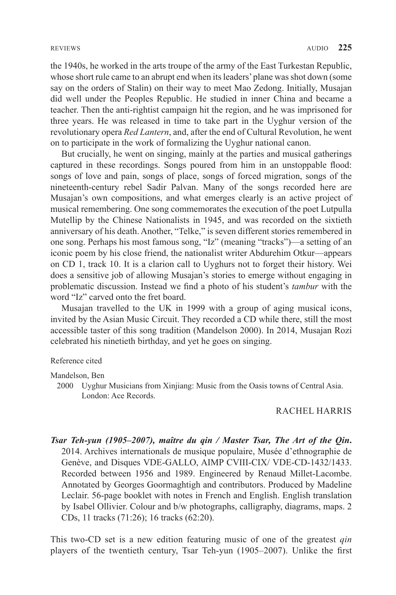the 1940s, he worked in the arts troupe of the army of the East Turkestan Republic, whose short rule came to an abrupt end when its leaders' plane was shot down (some say on the orders of Stalin) on their way to meet Mao Zedong. Initially, Musajan did well under the Peoples Republic. He studied in inner China and became a teacher. Then the anti-rightist campaign hit the region, and he was imprisoned for three years. He was released in time to take part in the Uyghur version of the revolutionary opera *Red Lantern*, and, after the end of Cultural Revolution, he went on to participate in the work of formalizing the Uyghur national canon.

But crucially, he went on singing, mainly at the parties and musical gatherings captured in these recordings. Songs poured from him in an unstoppable flood: songs of love and pain, songs of place, songs of forced migration, songs of the nineteenth-century rebel Sadir Palvan. Many of the songs recorded here are Musajan's own compositions, and what emerges clearly is an active project of musical remembering. One song commemorates the execution of the poet Lutpulla Mutellip by the Chinese Nationalists in 1945, and was recorded on the sixtieth anniversary of his death. Another, "Telke," is seven different stories remembered in one song. Perhaps his most famous song, "Iz" (meaning "tracks")—a setting of an iconic poem by his close friend, the nationalist writer Abdurehim Otkur—appears on CD 1, track 10. It is a clarion call to Uyghurs not to forget their history. Wei does a sensitive job of allowing Musajan's stories to emerge without engaging in problematic discussion. Instead we find a photo of his student's *tambur* with the word "Iz" carved onto the fret board.

Musajan travelled to the UK in 1999 with a group of aging musical icons, invited by the Asian Music Circuit. They recorded a CD while there, still the most accessible taster of this song tradition (Mandelson 2000). In 2014, Musajan Rozi celebrated his ninetieth birthday, and yet he goes on singing.

#### Reference cited

Mandelson, Ben

2000 Uyghur Musicians from Xinjiang: Music from the Oasis towns of Central Asia. London: Ace Records.

# RACHEL HARRIS

*Tsar Teh-yun (1905–2007), maître du qin / Master Tsar, The Art of the Qin***.** 2014. Archives internationals de musique populaire, Musée d'ethnographie de Genève, and Disques VDE-GALLO, AIMP CVIII-CIX/ VDE-CD-1432/1433. Recorded between 1956 and 1989. Engineered by Renaud Millet-Lacombe. Annotated by Georges Goormaghtigh and contributors. Produced by Madeline Leclair. 56-page booklet with notes in French and English. English translation by Isabel Ollivier. Colour and b/w photographs, calligraphy, diagrams, maps. 2 CDs, 11 tracks (71:26); 16 tracks (62:20).

This two-CD set is a new edition featuring music of one of the greatest *qin* players of the twentieth century, Tsar Teh-yun (1905–2007). Unlike the first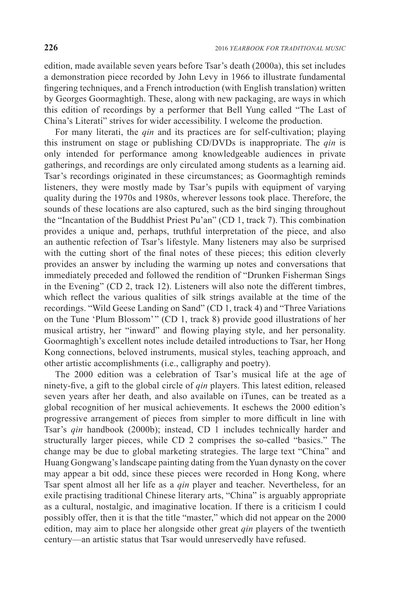edition, made available seven years before Tsar's death (2000a), this set includes a demonstration piece recorded by John Levy in 1966 to illustrate fundamental fingering techniques, and a French introduction (with English translation) written by Georges Goormaghtigh. These, along with new packaging, are ways in which this edition of recordings by a performer that Bell Yung called "The Last of China's Literati" strives for wider accessibility. I welcome the production.

For many literati, the *qin* and its practices are for self-cultivation; playing this instrument on stage or publishing CD/DVDs is inappropriate. The *qin* is only intended for performance among knowledgeable audiences in private gatherings, and recordings are only circulated among students as a learning aid. Tsar's recordings originated in these circumstances; as Goormaghtigh reminds listeners, they were mostly made by Tsar's pupils with equipment of varying quality during the 1970s and 1980s, wherever lessons took place. Therefore, the sounds of these locations are also captured, such as the bird singing throughout the "Incantation of the Buddhist Priest Pu'an" (CD 1, track 7). This combination provides a unique and, perhaps, truthful interpretation of the piece, and also an authentic refection of Tsar's lifestyle. Many listeners may also be surprised with the cutting short of the final notes of these pieces; this edition cleverly provides an answer by including the warming up notes and conversations that immediately preceded and followed the rendition of "Drunken Fisherman Sings in the Evening" (CD 2, track 12). Listeners will also note the different timbres, which reflect the various qualities of silk strings available at the time of the recordings. "Wild Geese Landing on Sand" (CD 1, track 4) and "Three Variations on the Tune 'Plum Blossom' " (CD 1, track 8) provide good illustrations of her musical artistry, her "inward" and flowing playing style, and her personality. Goormaghtigh's excellent notes include detailed introductions to Tsar, her Hong Kong connections, beloved instruments, musical styles, teaching approach, and other artistic accomplishments (i.e., calligraphy and poetry).

The 2000 edition was a celebration of Tsar's musical life at the age of ninety-five, a gift to the global circle of *qin* players. This latest edition, released seven years after her death, and also available on iTunes, can be treated as a global recognition of her musical achievements. It eschews the 2000 edition's progressive arrangement of pieces from simpler to more difficult in line with Tsar's *qin* handbook (2000b); instead, CD 1 includes technically harder and structurally larger pieces, while CD 2 comprises the so-called "basics." The change may be due to global marketing strategies. The large text "China" and Huang Gongwang's landscape painting dating from the Yuan dynasty on the cover may appear a bit odd, since these pieces were recorded in Hong Kong, where Tsar spent almost all her life as a *qin* player and teacher. Nevertheless, for an exile practising traditional Chinese literary arts, "China" is arguably appropriate as a cultural, nostalgic, and imaginative location. If there is a criticism I could possibly offer, then it is that the title "master," which did not appear on the 2000 edition, may aim to place her alongside other great *qin* players of the twentieth century—an artistic status that Tsar would unreservedly have refused.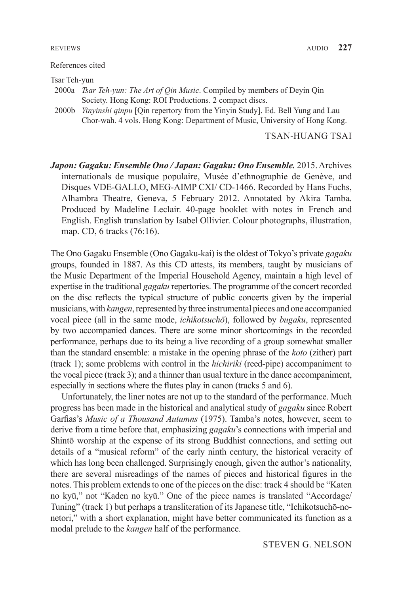#### References cited

Tsar Teh-yun

- 2000a *Tsar Teh-yun: The Art of Qin Music*. Compiled by members of Deyin Qin Society. Hong Kong: ROI Productions. 2 compact discs.
- 2000b *Yinyinshi qinpu* [Qin repertory from the Yinyin Study]. Ed. Bell Yung and Lau Chor-wah. 4 vols. Hong Kong: Department of Music, University of Hong Kong.

# TSAN-HUANG TSAI

*Japon: Gagaku: Ensemble Ono / Japan: Gagaku: Ono Ensemble.* 2015. Archives internationals de musique populaire, Musée d'ethnographie de Genève, and Disques VDE-GALLO, MEG-AIMP CXI/ CD-1466. Recorded by Hans Fuchs, Alhambra Theatre, Geneva, 5 February 2012. Annotated by Akira Tamba. Produced by Madeline Leclair. 40-page booklet with notes in French and English. English translation by Isabel Ollivier. Colour photographs, illustration, map. CD, 6 tracks (76:16).

The Ono Gagaku Ensemble (Ono Gagaku-kai) is the oldest of Tokyo's private *gagaku* groups, founded in 1887. As this CD attests, its members, taught by musicians of the Music Department of the Imperial Household Agency, maintain a high level of expertise in the traditional *gagaku* repertories. The programme of the concert recorded on the disc reflects the typical structure of public concerts given by the imperial musicians, with *kangen*, represented by three instrumental pieces and one accompanied vocal piece (all in the same mode, *ichikotsuchō*), followed by *bugaku*, represented by two accompanied dances. There are some minor shortcomings in the recorded performance, perhaps due to its being a live recording of a group somewhat smaller than the standard ensemble: a mistake in the opening phrase of the *koto* (zither) part (track 1); some problems with control in the *hichiriki* (reed-pipe) accompaniment to the vocal piece (track 3); and a thinner than usual texture in the dance accompaniment, especially in sections where the flutes play in canon (tracks 5 and 6).

Unfortunately, the liner notes are not up to the standard of the performance. Much progress has been made in the historical and analytical study of *gagaku* since Robert Garfias's *Music of a Thousand Autumns* (1975). Tamba's notes, however, seem to derive from a time before that, emphasizing *gagaku*'s connections with imperial and Shintō worship at the expense of its strong Buddhist connections, and setting out details of a "musical reform" of the early ninth century, the historical veracity of which has long been challenged. Surprisingly enough, given the author's nationality, there are several misreadings of the names of pieces and historical figures in the notes. This problem extends to one of the pieces on the disc: track 4 should be "Katen no kyū," not "Kaden no kyū." One of the piece names is translated "Accordage/ Tuning" (track 1) but perhaps a transliteration of its Japanese title, "Ichikotsuchō-nonetori," with a short explanation, might have better communicated its function as a modal prelude to the *kangen* half of the performance.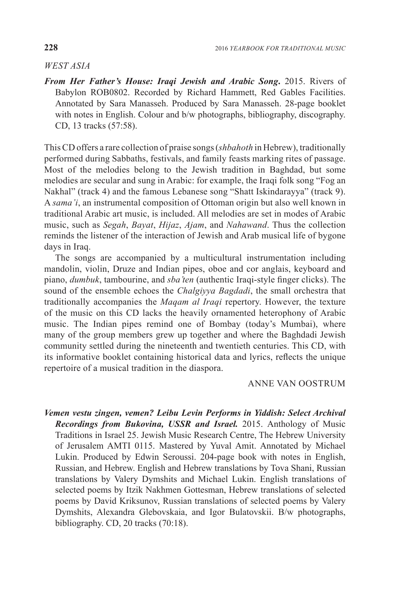# *WEST ASIA*

*From Her Father's House: Iraqi Jewish and Arabic Song***.** 2015. Rivers of Babylon ROB0802. Recorded by Richard Hammett, Red Gables Facilities. Annotated by Sara Manasseh. Produced by Sara Manasseh. 28-page booklet with notes in English. Colour and b/w photographs, bibliography, discography. CD, 13 tracks (57:58).

This CD offers a rare collection of praise songs (*shbahoth* in Hebrew), traditionally performed during Sabbaths, festivals, and family feasts marking rites of passage. Most of the melodies belong to the Jewish tradition in Baghdad, but some melodies are secular and sung in Arabic: for example, the Iraqi folk song "Fog an Nakhal" (track 4) and the famous Lebanese song "Shatt Iskindarayya" (track 9). A *sama'i*, an instrumental composition of Ottoman origin but also well known in traditional Arabic art music, is included. All melodies are set in modes of Arabic music, such as *Segah*, *Bayat*, *Hijaz*, *Ajam*, and *Nahawand*. Thus the collection reminds the listener of the interaction of Jewish and Arab musical life of bygone days in Iraq.

The songs are accompanied by a multicultural instrumentation including mandolin, violin, Druze and Indian pipes, oboe and cor anglais, keyboard and piano, *dumbuk*, tambourine, and *sba'ten* (authentic Iraqi-style finger clicks). The sound of the ensemble echoes the *Chalgiyya Bagdadi*, the small orchestra that traditionally accompanies the *Maqam al Iraqi* repertory. However, the texture of the music on this CD lacks the heavily ornamented heterophony of Arabic music. The Indian pipes remind one of Bombay (today's Mumbai), where many of the group members grew up together and where the Baghdadi Jewish community settled during the nineteenth and twentieth centuries. This CD, with its informative booklet containing historical data and lyrics, reflects the unique repertoire of a musical tradition in the diaspora.

# ANNE VAN OOSTRUM

*Vemen vestu zingen, vemen? Leibu Levin Performs in Yiddish: Select Archival Recordings from Bukovina, USSR and Israel.* 2015. Anthology of Music Traditions in Israel 25. Jewish Music Research Centre, The Hebrew University of Jerusalem AMTI 0115. Mastered by Yuval Amit. Annotated by Michael Lukin. Produced by Edwin Seroussi. 204-page book with notes in English, Russian, and Hebrew. English and Hebrew translations by Tova Shani, Russian translations by Valery Dymshits and Michael Lukin. English translations of selected poems by Itzik Nakhmen Gottesman, Hebrew translations of selected poems by David Kriksunov, Russian translations of selected poems by Valery Dymshits, Alexandra Glebovskaia, and Igor Bulatovskii. B/w photographs, bibliography. CD, 20 tracks (70:18).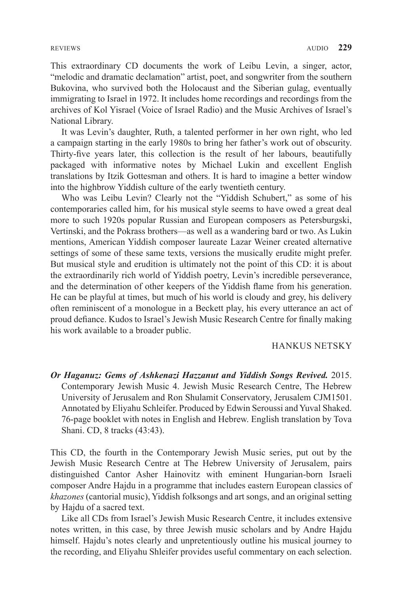This extraordinary CD documents the work of Leibu Levin, a singer, actor, "melodic and dramatic declamation" artist, poet, and songwriter from the southern Bukovina, who survived both the Holocaust and the Siberian gulag, eventually immigrating to Israel in 1972. It includes home recordings and recordings from the archives of Kol Yisrael (Voice of Israel Radio) and the Music Archives of Israel's National Library.

It was Levin's daughter, Ruth, a talented performer in her own right, who led a campaign starting in the early 1980s to bring her father's work out of obscurity. Thirty-five years later, this collection is the result of her labours, beautifully packaged with informative notes by Michael Lukin and excellent English translations by Itzik Gottesman and others. It is hard to imagine a better window into the highbrow Yiddish culture of the early twentieth century.

Who was Leibu Levin? Clearly not the "Yiddish Schubert," as some of his contemporaries called him, for his musical style seems to have owed a great deal more to such 1920s popular Russian and European composers as Petersburgski, Vertinski, and the Pokrass brothers—as well as a wandering bard or two. As Lukin mentions, American Yiddish composer laureate Lazar Weiner created alternative settings of some of these same texts, versions the musically erudite might prefer. But musical style and erudition is ultimately not the point of this CD: it is about the extraordinarily rich world of Yiddish poetry, Levin's incredible perseverance, and the determination of other keepers of the Yiddish flame from his generation. He can be playful at times, but much of his world is cloudy and grey, his delivery often reminiscent of a monologue in a Beckett play, his every utterance an act of proud defiance. Kudos to Israel's Jewish Music Research Centre for finally making his work available to a broader public.

# HANKUS NETSKY

*Or Haganuz: Gems of Ashkenazi Hazzanut and Yiddish Songs Revived.* 2015. Contemporary Jewish Music 4. Jewish Music Research Centre, The Hebrew University of Jerusalem and Ron Shulamit Conservatory, Jerusalem CJM1501. Annotated by Eliyahu Schleifer. Produced by Edwin Seroussi and Yuval Shaked. 76-page booklet with notes in English and Hebrew. English translation by Tova Shani. CD, 8 tracks (43:43).

This CD, the fourth in the Contemporary Jewish Music series, put out by the Jewish Music Research Centre at The Hebrew University of Jerusalem, pairs distinguished Cantor Asher Hainovitz with eminent Hungarian-born Israeli composer Andre Hajdu in a programme that includes eastern European classics of *khazones* (cantorial music), Yiddish folksongs and art songs, and an original setting by Hajdu of a sacred text.

Like all CDs from Israel's Jewish Music Research Centre, it includes extensive notes written, in this case, by three Jewish music scholars and by Andre Hajdu himself. Hajdu's notes clearly and unpretentiously outline his musical journey to the recording, and Eliyahu Shleifer provides useful commentary on each selection.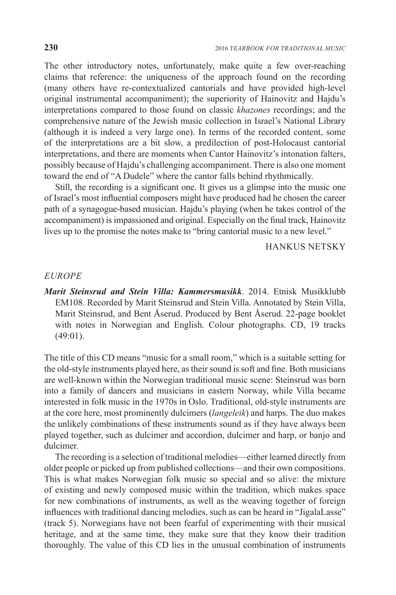The other introductory notes, unfortunately, make quite a few over-reaching claims that reference: the uniqueness of the approach found on the recording (many others have re-contextualized cantorials and have provided high-level original instrumental accompaniment); the superiority of Hainovitz and Hajdu's interpretations compared to those found on classic *khazones* recordings; and the comprehensive nature of the Jewish music collection in Israel's National Library (although it is indeed a very large one). In terms of the recorded content, some of the interpretations are a bit slow, a predilection of post-Holocaust cantorial interpretations, and there are moments when Cantor Hainovitz's intonation falters, possibly because of Hajdu's challenging accompaniment. There is also one moment toward the end of "A Dudele" where the cantor falls behind rhythmically.

Still, the recording is a significant one. It gives us a glimpse into the music one of Israel's most influential composers might have produced had he chosen the career path of a synagogue-based musician. Hajdu's playing (when he takes control of the accompaniment) is impassioned and original. Especially on the final track, Hainovitz lives up to the promise the notes make to "bring cantorial music to a new level."

HANKUS NETSKY

#### *EUROPE*

*Marit Steinsrud and Stein Villa: Kammersmusikk*. 2014. Etnisk Musikklubb EM108. Recorded by Marit Steinsrud and Stein Villa. Annotated by Stein Villa, Marit Steinsrud, and Bent Åserud. Produced by Bent Åserud. 22-page booklet with notes in Norwegian and English. Colour photographs. CD, 19 tracks (49:01).

The title of this CD means "music for a small room," which is a suitable setting for the old-style instruments played here, as their sound is soft and fine. Both musicians are well-known within the Norwegian traditional music scene: Steinsrud was born into a family of dancers and musicians in eastern Norway, while Villa became interested in folk music in the 1970s in Oslo. Traditional, old-style instruments are at the core here, most prominently dulcimers (*langeleik*) and harps. The duo makes the unlikely combinations of these instruments sound as if they have always been played together, such as dulcimer and accordion, dulcimer and harp, or banjo and dulcimer.

The recording is a selection of traditional melodies—either learned directly from older people or picked up from published collections—and their own compositions. This is what makes Norwegian folk music so special and so alive: the mixture of existing and newly composed music within the tradition, which makes space for new combinations of instruments, as well as the weaving together of foreign influences with traditional dancing melodies, such as can be heard in "JigalaLasse" (track 5). Norwegians have not been fearful of experimenting with their musical heritage, and at the same time, they make sure that they know their tradition thoroughly. The value of this CD lies in the unusual combination of instruments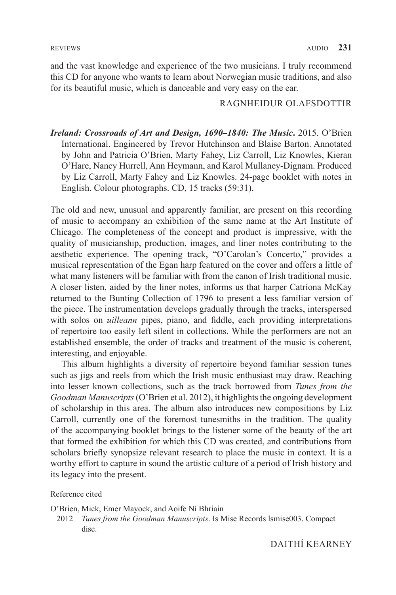and the vast knowledge and experience of the two musicians. I truly recommend this CD for anyone who wants to learn about Norwegian music traditions, and also for its beautiful music, which is danceable and very easy on the ear.

### RAGNHEIDUR OLAFSDOTTIR

*Ireland: Crossroads of Art and Design, 1690–1840: The Music***.** 2015. O'Brien International. Engineered by Trevor Hutchinson and Blaise Barton. Annotated by John and Patricia O'Brien, Marty Fahey, Liz Carroll, Liz Knowles, Kieran O'Hare, Nancy Hurrell, Ann Heymann, and Karol Mullaney-Dignam. Produced by Liz Carroll, Marty Fahey and Liz Knowles. 24-page booklet with notes in English. Colour photographs. CD, 15 tracks (59:31).

The old and new, unusual and apparently familiar, are present on this recording of music to accompany an exhibition of the same name at the Art Institute of Chicago. The completeness of the concept and product is impressive, with the quality of musicianship, production, images, and liner notes contributing to the aesthetic experience. The opening track, "O'Carolan's Concerto," provides a musical representation of the Egan harp featured on the cover and offers a little of what many listeners will be familiar with from the canon of Irish traditional music. A closer listen, aided by the liner notes, informs us that harper Catríona McKay returned to the Bunting Collection of 1796 to present a less familiar version of the piece. The instrumentation develops gradually through the tracks, interspersed with solos on *uilleann* pipes, piano, and fiddle, each providing interpretations of repertoire too easily left silent in collections. While the performers are not an established ensemble, the order of tracks and treatment of the music is coherent, interesting, and enjoyable.

This album highlights a diversity of repertoire beyond familiar session tunes such as jigs and reels from which the Irish music enthusiast may draw. Reaching into lesser known collections, such as the track borrowed from *Tunes from the Goodman Manuscripts* (O'Brien et al. 2012), it highlights the ongoing development of scholarship in this area. The album also introduces new compositions by Liz Carroll, currently one of the foremost tunesmiths in the tradition. The quality of the accompanying booklet brings to the listener some of the beauty of the art that formed the exhibition for which this CD was created, and contributions from scholars briefly synopsize relevant research to place the music in context. It is a worthy effort to capture in sound the artistic culture of a period of Irish history and its legacy into the present.

#### Reference cited

O'Brien, Mick, Emer Mayock, and Aoife Ní Bhriain

 2012 *Tunes from the Goodman Manuscripts*. Is Mise Records lsmise003. Compact disc.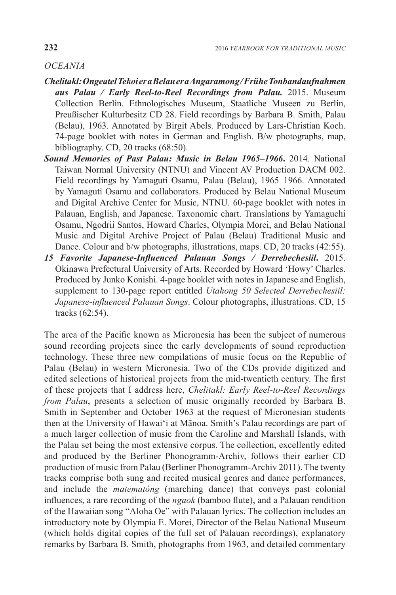# *OCEANIA*

- *Chelitakl: Ongeatel Tekoi er a Belau er a Angaramong / Frühe Tonbandaufnahmen aus Palau / Early Reel-to-Reel Recordings from Palau.* 2015. Museum Collection Berlin. Ethnologisches Museum, Staatliche Museen zu Berlin, Preußischer Kulturbesitz CD 28. Field recordings by Barbara B. Smith, Palau (Belau), 1963. Annotated by Birgit Abels. Produced by Lars-Christian Koch. 74-page booklet with notes in German and English. B/w photographs, map, bibliography. CD, 20 tracks (68:50).
- *Sound Memories of Past Palau: Music in Belau 1965–1966***.** 2014. National Taiwan Normal University (NTNU) and Vincent AV Production DACM 002. Field recordings by Yamaguti Osamu, Palau (Belau), 1965–1966. Annotated by Yamaguti Osamu and collaborators. Produced by Belau National Museum and Digital Archive Center for Music, NTNU. 60-page booklet with notes in Palauan, English, and Japanese. Taxonomic chart. Translations by Yamaguchi Osamu, Ngodrii Santos, Howard Charles, Olympia Morei, and Belau National Music and Digital Archive Project of Palau (Belau) Traditional Music and Dance. Colour and b/w photographs, illustrations, maps. CD, 20 tracks (42:55).
- *15 Favorite Japanese-Influenced Palauan Songs / Derrebechesiil***.** 2015. Okinawa Prefectural University of Arts. Recorded by Howard 'Howy' Charles. Produced by Junko Konishi. 4-page booklet with notes in Japanese and English, supplement to 130-page report entitled *Utahong 50 Selected Derrebechesiil: Japanese-influenced Palauan Songs*. Colour photographs, illustrations. CD, 15 tracks (62:54).

The area of the Pacific known as Micronesia has been the subject of numerous sound recording projects since the early developments of sound reproduction technology. These three new compilations of music focus on the Republic of Palau (Belau) in western Micronesia. Two of the CDs provide digitized and edited selections of historical projects from the mid-twentieth century. The first of these projects that I address here, *Chelitakl: Early Reel-to-Reel Recordings from Palau*, presents a selection of music originally recorded by Barbara B. Smith in September and October 1963 at the request of Micronesian students then at the University of Hawai'i at Mānoa. Smith's Palau recordings are part of a much larger collection of music from the Caroline and Marshall Islands, with the Palau set being the most extensive corpus. The collection, excellently edited and produced by the Berliner Phonogramm-Archiv, follows their earlier CD production of music from Palau (Berliner Phonogramm-Archiv 2011). The twenty tracks comprise both sung and recited musical genres and dance performances, and include the *matematóng* (marching dance) that conveys past colonial influences, a rare recording of the *ngaok* (bamboo flute), and a Palauan rendition of the Hawaiian song "Aloha Oe" with Palauan lyrics. The collection includes an introductory note by Olympia E. Morei, Director of the Belau National Museum (which holds digital copies of the full set of Palauan recordings), explanatory remarks by Barbara B. Smith, photographs from 1963, and detailed commentary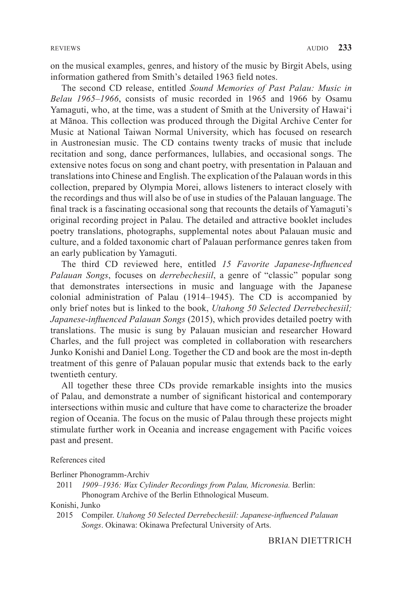on the musical examples, genres, and history of the music by Birgit Abels, using information gathered from Smith's detailed 1963 field notes.

The second CD release, entitled *Sound Memories of Past Palau: Music in Belau 1965–1966*, consists of music recorded in 1965 and 1966 by Osamu Yamaguti, who, at the time, was a student of Smith at the University of Hawai'i at Mānoa. This collection was produced through the Digital Archive Center for Music at National Taiwan Normal University, which has focused on research in Austronesian music. The CD contains twenty tracks of music that include recitation and song, dance performances, lullabies, and occasional songs. The extensive notes focus on song and chant poetry, with presentation in Palauan and translations into Chinese and English. The explication of the Palauan words in this collection, prepared by Olympia Morei, allows listeners to interact closely with the recordings and thus will also be of use in studies of the Palauan language. The final track is a fascinating occasional song that recounts the details of Yamaguti's original recording project in Palau. The detailed and attractive booklet includes poetry translations, photographs, supplemental notes about Palauan music and culture, and a folded taxonomic chart of Palauan performance genres taken from an early publication by Yamaguti.

The third CD reviewed here, entitled *15 Favorite Japanese-Influenced Palauan Songs*, focuses on *derrebechesiil*, a genre of "classic" popular song that demonstrates intersections in music and language with the Japanese colonial administration of Palau (1914–1945). The CD is accompanied by only brief notes but is linked to the book, *Utahong 50 Selected Derrebechesiil; Japanese-influenced Palauan Songs* (2015), which provides detailed poetry with translations. The music is sung by Palauan musician and researcher Howard Charles, and the full project was completed in collaboration with researchers Junko Konishi and Daniel Long. Together the CD and book are the most in-depth treatment of this genre of Palauan popular music that extends back to the early twentieth century.

All together these three CDs provide remarkable insights into the musics of Palau, and demonstrate a number of significant historical and contemporary intersections within music and culture that have come to characterize the broader region of Oceania. The focus on the music of Palau through these projects might stimulate further work in Oceania and increase engagement with Pacific voices past and present.

#### References cited

#### Berliner Phonogramm-Archiv

 2011 *1909–1936: Wax Cylinder Recordings from Palau, Micronesia.* Berlin: Phonogram Archive of the Berlin Ethnological Museum.

Konishi, Junko

 2015 Compiler. *Utahong 50 Selected Derrebechesiil: Japanese-influenced Palauan Songs*. Okinawa: Okinawa Prefectural University of Arts.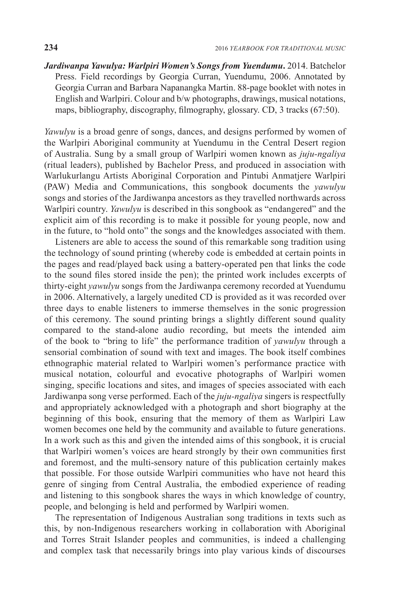*Jardiwanpa Yawulya: Warlpiri Women's Songs from Yuendumu***.** 2014. Batchelor Press. Field recordings by Georgia Curran, Yuendumu, 2006. Annotated by Georgia Curran and Barbara Napanangka Martin. 88-page booklet with notes in English and Warlpiri. Colour and b/w photographs, drawings, musical notations, maps, bibliography, discography, filmography, glossary. CD, 3 tracks (67:50).

*Yawulyu* is a broad genre of songs, dances, and designs performed by women of the Warlpiri Aboriginal community at Yuendumu in the Central Desert region of Australia. Sung by a small group of Warlpiri women known as *juju-ngaliya* (ritual leaders), published by Bachelor Press, and produced in association with Warlukurlangu Artists Aboriginal Corporation and Pintubi Anmatjere Warlpiri (PAW) Media and Communications, this songbook documents the *yawulyu*  songs and stories of the Jardiwanpa ancestors as they travelled northwards across Warlpiri country. *Yawulyu* is described in this songbook as "endangered" and the explicit aim of this recording is to make it possible for young people, now and in the future, to "hold onto" the songs and the knowledges associated with them.

Listeners are able to access the sound of this remarkable song tradition using the technology of sound printing (whereby code is embedded at certain points in the pages and read/played back using a battery-operated pen that links the code to the sound files stored inside the pen); the printed work includes excerpts of thirty-eight *yawulyu* songs from the Jardiwanpa ceremony recorded at Yuendumu in 2006. Alternatively, a largely unedited CD is provided as it was recorded over three days to enable listeners to immerse themselves in the sonic progression of this ceremony. The sound printing brings a slightly different sound quality compared to the stand-alone audio recording, but meets the intended aim of the book to "bring to life" the performance tradition of *yawulyu* through a sensorial combination of sound with text and images. The book itself combines ethnographic material related to Warlpiri women's performance practice with musical notation, colourful and evocative photographs of Warlpiri women singing, specific locations and sites, and images of species associated with each Jardiwanpa song verse performed. Each of the *juju-ngaliya* singers is respectfully and appropriately acknowledged with a photograph and short biography at the beginning of this book, ensuring that the memory of them as Warlpiri Law women becomes one held by the community and available to future generations. In a work such as this and given the intended aims of this songbook, it is crucial that Warlpiri women's voices are heard strongly by their own communities first and foremost, and the multi-sensory nature of this publication certainly makes that possible. For those outside Warlpiri communities who have not heard this genre of singing from Central Australia, the embodied experience of reading and listening to this songbook shares the ways in which knowledge of country, people, and belonging is held and performed by Warlpiri women.

The representation of Indigenous Australian song traditions in texts such as this, by non-Indigenous researchers working in collaboration with Aboriginal and Torres Strait Islander peoples and communities, is indeed a challenging and complex task that necessarily brings into play various kinds of discourses